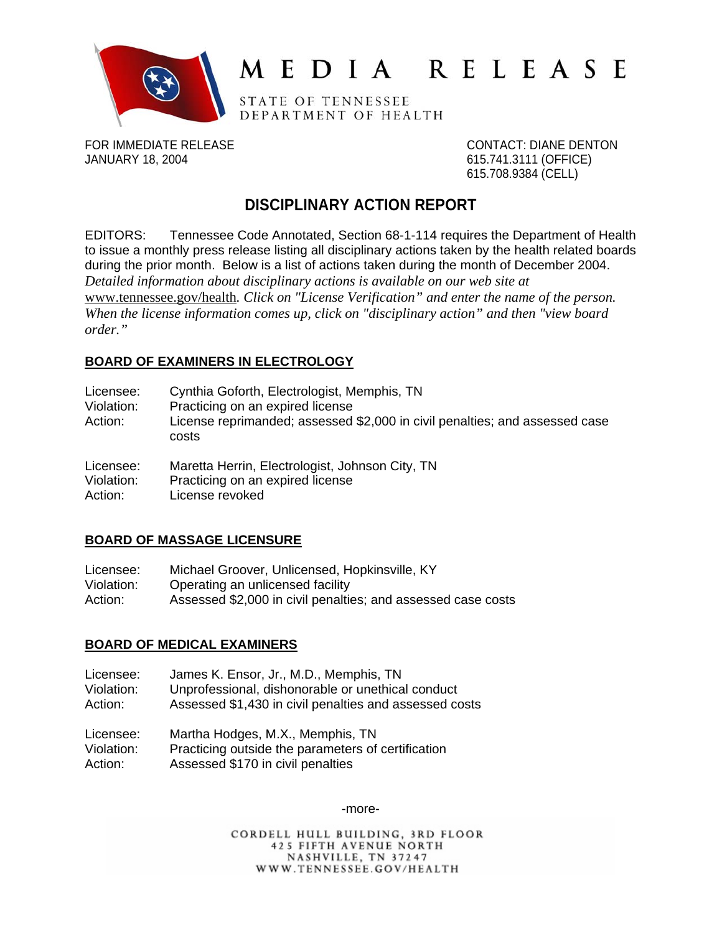

# MEDIA RELEASE

STATE OF TENNESSEE DEPARTMENT OF HEALTH

FOR IMMEDIATE RELEASE CONTACT: DIANE DENTON JANUARY 18, 2004 615.741.3111 (OFFICE)

615.708.9384 (CELL)

# **DISCIPLINARY ACTION REPORT**

EDITORS: Tennessee Code Annotated, Section 68-1-114 requires the Department of Health to issue a monthly press release listing all disciplinary actions taken by the health related boards during the prior month. Below is a list of actions taken during the month of December 2004. *Detailed information about disciplinary actions is available on our web site at*  www.tennessee.gov/health*. Click on "License Verification" and enter the name of the person. When the license information comes up, click on "disciplinary action" and then "view board order."* 

#### **BOARD OF EXAMINERS IN ELECTROLOGY**

| Licensee:<br>Violation:<br>Action: | Cynthia Goforth, Electrologist, Memphis, TN<br>Practicing on an expired license<br>License reprimanded; assessed \$2,000 in civil penalties; and assessed case<br>costs |
|------------------------------------|-------------------------------------------------------------------------------------------------------------------------------------------------------------------------|
| Licensee:                          | Maretta Herrin, Electrologist, Johnson City, TN                                                                                                                         |
| Violation:<br>Action:              | Practicing on an expired license<br>License revoked                                                                                                                     |

#### **BOARD OF MASSAGE LICENSURE**

| Licensee:  | Michael Groover, Unlicensed, Hopkinsville, KY                |
|------------|--------------------------------------------------------------|
| Violation: | Operating an unlicensed facility                             |
| Action:    | Assessed \$2,000 in civil penalties; and assessed case costs |

#### **BOARD OF MEDICAL EXAMINERS**

| Licensee:  | James K. Ensor, Jr., M.D., Memphis, TN                 |
|------------|--------------------------------------------------------|
| Violation: | Unprofessional, dishonorable or unethical conduct      |
| Action:    | Assessed \$1,430 in civil penalties and assessed costs |
| Licensee:  | Martha Hodges, M.X., Memphis, TN                       |
| Violation: | Practicing outside the parameters of certification     |
| Action:    | Assessed \$170 in civil penalties                      |

-more-

CORDELL HULL BUILDING, 3RD FLOOR **425 FIFTH AVENUE NORTH** NASHVILLE, TN 37247 WWW.TENNESSEE.GOV/HEALTH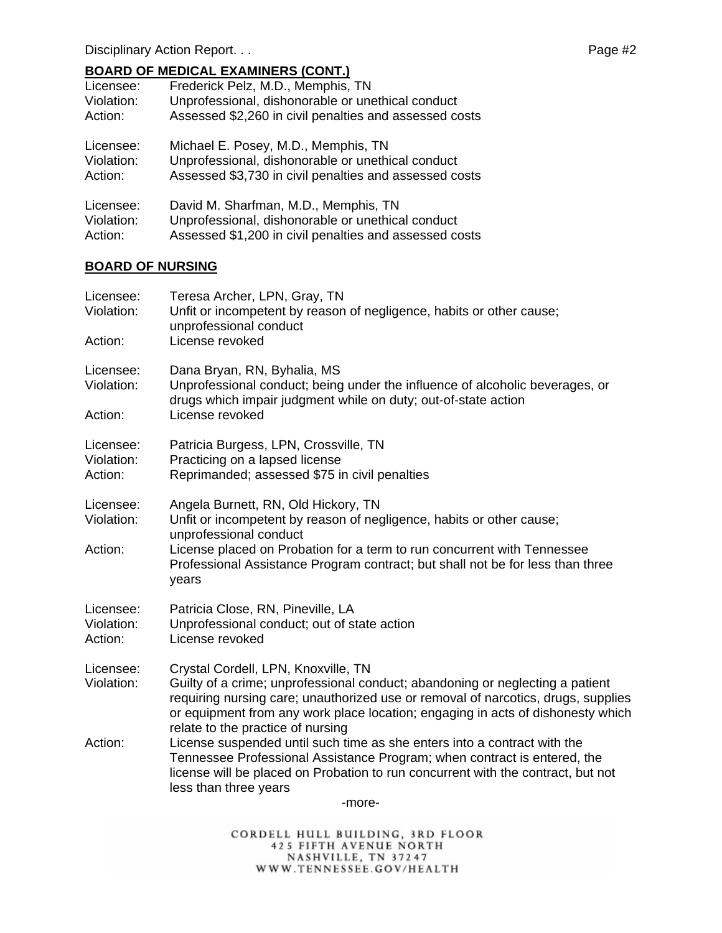## **BOARD OF MEDICAL EXAMINERS (CONT.)**

| Licensee:  | Frederick Pelz, M.D., Memphis, TN                      |
|------------|--------------------------------------------------------|
| Violation: | Unprofessional, dishonorable or unethical conduct      |
| Action:    | Assessed \$2,260 in civil penalties and assessed costs |
| Licensee:  | Michael E. Posey, M.D., Memphis, TN                    |
| Violation: | Unprofessional, dishonorable or unethical conduct      |
| Action:    | Assessed \$3,730 in civil penalties and assessed costs |
| Licensee:  | David M. Sharfman, M.D., Memphis, TN                   |
| Violation: | Unprofessional, dishonorable or unethical conduct      |
| Action:    | Assessed \$1,200 in civil penalties and assessed costs |

#### **BOARD OF NURSING**

| Licensee:<br>Violation:            | Teresa Archer, LPN, Gray, TN<br>Unfit or incompetent by reason of negligence, habits or other cause;<br>unprofessional conduct                                                                                                                                                                                                    |
|------------------------------------|-----------------------------------------------------------------------------------------------------------------------------------------------------------------------------------------------------------------------------------------------------------------------------------------------------------------------------------|
| Action:                            | License revoked                                                                                                                                                                                                                                                                                                                   |
| Licensee:<br>Violation:            | Dana Bryan, RN, Byhalia, MS<br>Unprofessional conduct; being under the influence of alcoholic beverages, or<br>drugs which impair judgment while on duty; out-of-state action                                                                                                                                                     |
| Action:                            | License revoked                                                                                                                                                                                                                                                                                                                   |
| Licensee:<br>Violation:<br>Action: | Patricia Burgess, LPN, Crossville, TN<br>Practicing on a lapsed license<br>Reprimanded; assessed \$75 in civil penalties                                                                                                                                                                                                          |
| Licensee:<br>Violation:            | Angela Burnett, RN, Old Hickory, TN<br>Unfit or incompetent by reason of negligence, habits or other cause;<br>unprofessional conduct                                                                                                                                                                                             |
| Action:                            | License placed on Probation for a term to run concurrent with Tennessee<br>Professional Assistance Program contract; but shall not be for less than three<br>years                                                                                                                                                                |
| Licensee:<br>Violation:<br>Action: | Patricia Close, RN, Pineville, LA<br>Unprofessional conduct; out of state action<br>License revoked                                                                                                                                                                                                                               |
| Licensee:<br>Violation:            | Crystal Cordell, LPN, Knoxville, TN<br>Guilty of a crime; unprofessional conduct; abandoning or neglecting a patient<br>requiring nursing care; unauthorized use or removal of narcotics, drugs, supplies<br>or equipment from any work place location; engaging in acts of dishonesty which<br>relate to the practice of nursing |
| Action:                            | License suspended until such time as she enters into a contract with the<br>Tennessee Professional Assistance Program; when contract is entered, the<br>license will be placed on Probation to run concurrent with the contract, but not<br>less than three years                                                                 |
|                                    | -more-                                                                                                                                                                                                                                                                                                                            |

CORDELL HULL BUILDING, 3RD FLOOR<br>425 FIFTH AVENUE NORTH<br>NASHVILLE, TN 37247<br>WWW.TENNESSEE.GOV/HEALTH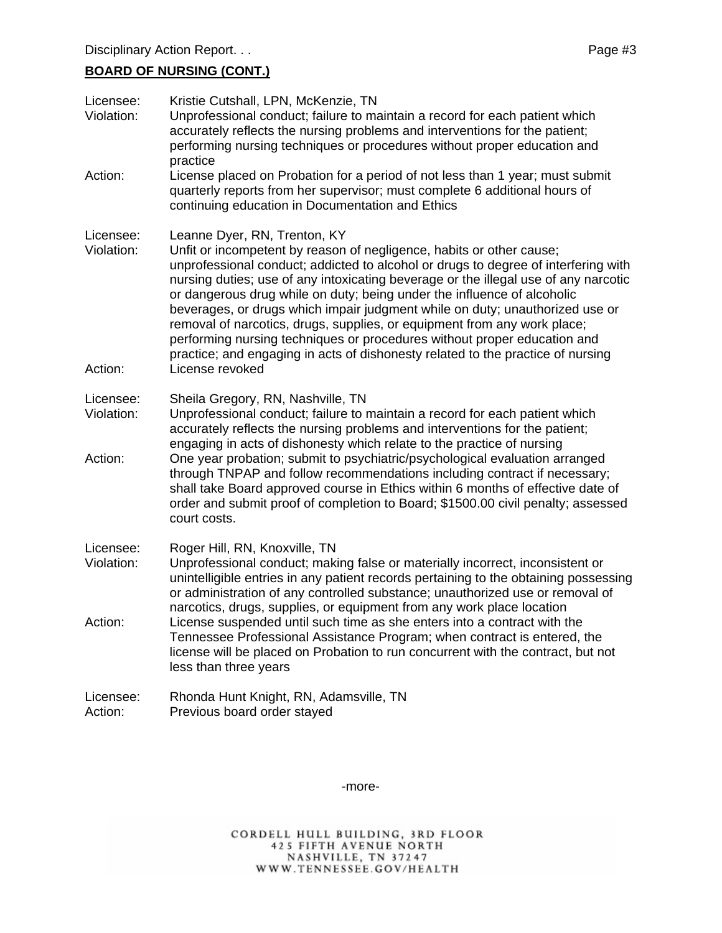## **BOARD OF NURSING (CONT.)**

| Licensee:<br>Violation:            | Kristie Cutshall, LPN, McKenzie, TN<br>Unprofessional conduct; failure to maintain a record for each patient which<br>accurately reflects the nursing problems and interventions for the patient;<br>performing nursing techniques or procedures without proper education and<br>practice                                                                                                                                                                                                                                                                                                                                                                                                                  |
|------------------------------------|------------------------------------------------------------------------------------------------------------------------------------------------------------------------------------------------------------------------------------------------------------------------------------------------------------------------------------------------------------------------------------------------------------------------------------------------------------------------------------------------------------------------------------------------------------------------------------------------------------------------------------------------------------------------------------------------------------|
| Action:                            | License placed on Probation for a period of not less than 1 year; must submit<br>quarterly reports from her supervisor; must complete 6 additional hours of<br>continuing education in Documentation and Ethics                                                                                                                                                                                                                                                                                                                                                                                                                                                                                            |
| Licensee:<br>Violation:<br>Action: | Leanne Dyer, RN, Trenton, KY<br>Unfit or incompetent by reason of negligence, habits or other cause;<br>unprofessional conduct; addicted to alcohol or drugs to degree of interfering with<br>nursing duties; use of any intoxicating beverage or the illegal use of any narcotic<br>or dangerous drug while on duty; being under the influence of alcoholic<br>beverages, or drugs which impair judgment while on duty; unauthorized use or<br>removal of narcotics, drugs, supplies, or equipment from any work place;<br>performing nursing techniques or procedures without proper education and<br>practice; and engaging in acts of dishonesty related to the practice of nursing<br>License revoked |
| Licensee:<br>Violation:<br>Action: | Sheila Gregory, RN, Nashville, TN<br>Unprofessional conduct; failure to maintain a record for each patient which<br>accurately reflects the nursing problems and interventions for the patient;<br>engaging in acts of dishonesty which relate to the practice of nursing<br>One year probation; submit to psychiatric/psychological evaluation arranged<br>through TNPAP and follow recommendations including contract if necessary;<br>shall take Board approved course in Ethics within 6 months of effective date of<br>order and submit proof of completion to Board; \$1500.00 civil penalty; assessed<br>court costs.                                                                               |
| Licensee:<br>Violation:            | Roger Hill, RN, Knoxville, TN<br>Unprofessional conduct; making false or materially incorrect, inconsistent or<br>unintelligible entries in any patient records pertaining to the obtaining possessing<br>or administration of any controlled substance; unauthorized use or removal of<br>narcotics, drugs, supplies, or equipment from any work place location                                                                                                                                                                                                                                                                                                                                           |
| Action:                            | License suspended until such time as she enters into a contract with the<br>Tennessee Professional Assistance Program; when contract is entered, the<br>license will be placed on Probation to run concurrent with the contract, but not<br>less than three years                                                                                                                                                                                                                                                                                                                                                                                                                                          |
| Licensee:<br>Action:               | Rhonda Hunt Knight, RN, Adamsville, TN<br>Previous board order stayed                                                                                                                                                                                                                                                                                                                                                                                                                                                                                                                                                                                                                                      |

-more-

CORDELL HULL BUILDING, 3RD FLOOR<br>425 FIFTH AVENUE NORTH<br>NASHVILLE, TN 37247<br>WWW.TENNESSEE.GOV/HEALTH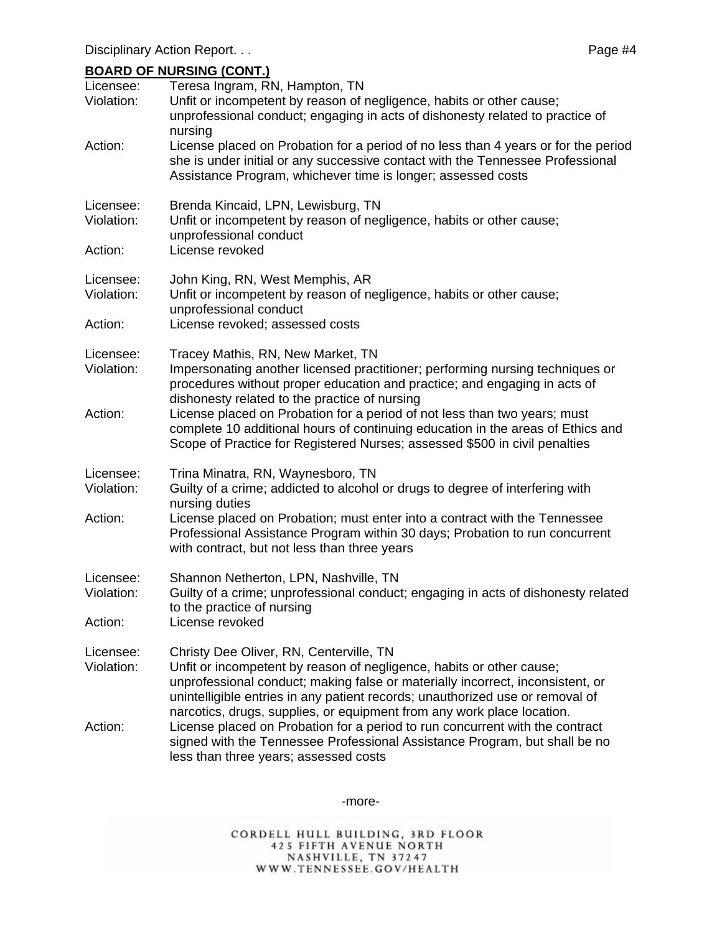#### **BOARD OF NURSING (CONT.)**

| Licensee:<br>Violation:            | Teresa Ingram, RN, Hampton, TN<br>Unfit or incompetent by reason of negligence, habits or other cause;<br>unprofessional conduct; engaging in acts of dishonesty related to practice of<br>nursing                                                                                 |
|------------------------------------|------------------------------------------------------------------------------------------------------------------------------------------------------------------------------------------------------------------------------------------------------------------------------------|
| Action:                            | License placed on Probation for a period of no less than 4 years or for the period<br>she is under initial or any successive contact with the Tennessee Professional<br>Assistance Program, whichever time is longer; assessed costs                                               |
| Licensee:<br>Violation:<br>Action: | Brenda Kincaid, LPN, Lewisburg, TN<br>Unfit or incompetent by reason of negligence, habits or other cause;<br>unprofessional conduct<br>License revoked                                                                                                                            |
| Licensee:<br>Violation:<br>Action: | John King, RN, West Memphis, AR<br>Unfit or incompetent by reason of negligence, habits or other cause;<br>unprofessional conduct<br>License revoked; assessed costs                                                                                                               |
| Licensee:<br>Violation:            | Tracey Mathis, RN, New Market, TN<br>Impersonating another licensed practitioner; performing nursing techniques or<br>procedures without proper education and practice; and engaging in acts of<br>dishonesty related to the practice of nursing                                   |
| Action:                            | License placed on Probation for a period of not less than two years; must<br>complete 10 additional hours of continuing education in the areas of Ethics and<br>Scope of Practice for Registered Nurses; assessed \$500 in civil penalties                                         |
| Licensee:<br>Violation:            | Trina Minatra, RN, Waynesboro, TN<br>Guilty of a crime; addicted to alcohol or drugs to degree of interfering with<br>nursing duties                                                                                                                                               |
| Action:                            | License placed on Probation; must enter into a contract with the Tennessee<br>Professional Assistance Program within 30 days; Probation to run concurrent<br>with contract, but not less than three years                                                                          |
| Licensee:<br>Violation:<br>Action: | Shannon Netherton, LPN, Nashville, TN<br>Guilty of a crime; unprofessional conduct; engaging in acts of dishonesty related<br>to the practice of nursing<br>License revoked                                                                                                        |
| Licensee:<br>Violation:            | Christy Dee Oliver, RN, Centerville, TN<br>Unfit or incompetent by reason of negligence, habits or other cause;<br>unprofessional conduct; making false or materially incorrect, inconsistent, or<br>unintelligible entries in any patient records; unauthorized use or removal of |
| Action:                            | narcotics, drugs, supplies, or equipment from any work place location.<br>License placed on Probation for a period to run concurrent with the contract<br>signed with the Tennessee Professional Assistance Program, but shall be no<br>less than three years; assessed costs      |

-more-

CORDELL HULL BUILDING, 3RD FLOOR<br>425 FIFTH AVENUE NORTH<br>NASHVILLE, TN 37247<br>WWW.TENNESSEE.GOV/HEALTH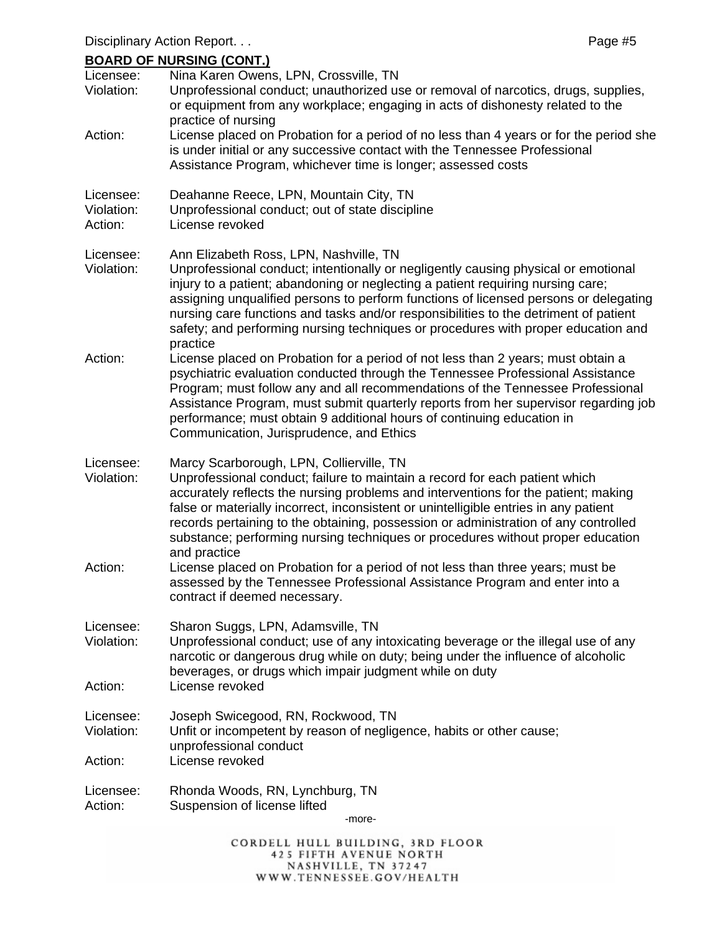# **BOARD OF NURSING (CONT.)**

| Licensee:<br>Violation:            | <u>ן ויוטטן טוווטחטון זע שחאטט</u><br>Nina Karen Owens, LPN, Crossville, TN<br>Unprofessional conduct; unauthorized use or removal of narcotics, drugs, supplies,<br>or equipment from any workplace; engaging in acts of dishonesty related to the                                                                                                                                                                                                                                              |
|------------------------------------|--------------------------------------------------------------------------------------------------------------------------------------------------------------------------------------------------------------------------------------------------------------------------------------------------------------------------------------------------------------------------------------------------------------------------------------------------------------------------------------------------|
| Action:                            | practice of nursing<br>License placed on Probation for a period of no less than 4 years or for the period she<br>is under initial or any successive contact with the Tennessee Professional<br>Assistance Program, whichever time is longer; assessed costs                                                                                                                                                                                                                                      |
| Licensee:<br>Violation:<br>Action: | Deahanne Reece, LPN, Mountain City, TN<br>Unprofessional conduct; out of state discipline<br>License revoked                                                                                                                                                                                                                                                                                                                                                                                     |
| Licensee:<br>Violation:            | Ann Elizabeth Ross, LPN, Nashville, TN<br>Unprofessional conduct; intentionally or negligently causing physical or emotional<br>injury to a patient; abandoning or neglecting a patient requiring nursing care;<br>assigning unqualified persons to perform functions of licensed persons or delegating<br>nursing care functions and tasks and/or responsibilities to the detriment of patient<br>safety; and performing nursing techniques or procedures with proper education and<br>practice |
| Action:                            | License placed on Probation for a period of not less than 2 years; must obtain a<br>psychiatric evaluation conducted through the Tennessee Professional Assistance<br>Program; must follow any and all recommendations of the Tennessee Professional<br>Assistance Program, must submit quarterly reports from her supervisor regarding job<br>performance; must obtain 9 additional hours of continuing education in<br>Communication, Jurisprudence, and Ethics                                |
| Licensee:<br>Violation:            | Marcy Scarborough, LPN, Collierville, TN<br>Unprofessional conduct; failure to maintain a record for each patient which<br>accurately reflects the nursing problems and interventions for the patient; making<br>false or materially incorrect, inconsistent or unintelligible entries in any patient<br>records pertaining to the obtaining, possession or administration of any controlled<br>substance; performing nursing techniques or procedures without proper education                  |
| Action:                            | and practice<br>License placed on Probation for a period of not less than three years; must be<br>assessed by the Tennessee Professional Assistance Program and enter into a<br>contract if deemed necessary.                                                                                                                                                                                                                                                                                    |
| Licensee:<br>Violation:<br>Action: | Sharon Suggs, LPN, Adamsville, TN<br>Unprofessional conduct; use of any intoxicating beverage or the illegal use of any<br>narcotic or dangerous drug while on duty; being under the influence of alcoholic<br>beverages, or drugs which impair judgment while on duty<br>License revoked                                                                                                                                                                                                        |
|                                    |                                                                                                                                                                                                                                                                                                                                                                                                                                                                                                  |
| Licensee:<br>Violation:            | Joseph Swicegood, RN, Rockwood, TN<br>Unfit or incompetent by reason of negligence, habits or other cause;<br>unprofessional conduct                                                                                                                                                                                                                                                                                                                                                             |
| Action:                            | License revoked                                                                                                                                                                                                                                                                                                                                                                                                                                                                                  |
| Licensee:<br>Action:               | Rhonda Woods, RN, Lynchburg, TN<br>Suspension of license lifted<br>-more-                                                                                                                                                                                                                                                                                                                                                                                                                        |
|                                    | CORDELL HULL BUILDING, 3RD FLOOR                                                                                                                                                                                                                                                                                                                                                                                                                                                                 |

**425 FIFTH AVENUE NORTH** NASHVILLE, TN 37247 WWW.TENNESSEE.GOV/HEALTH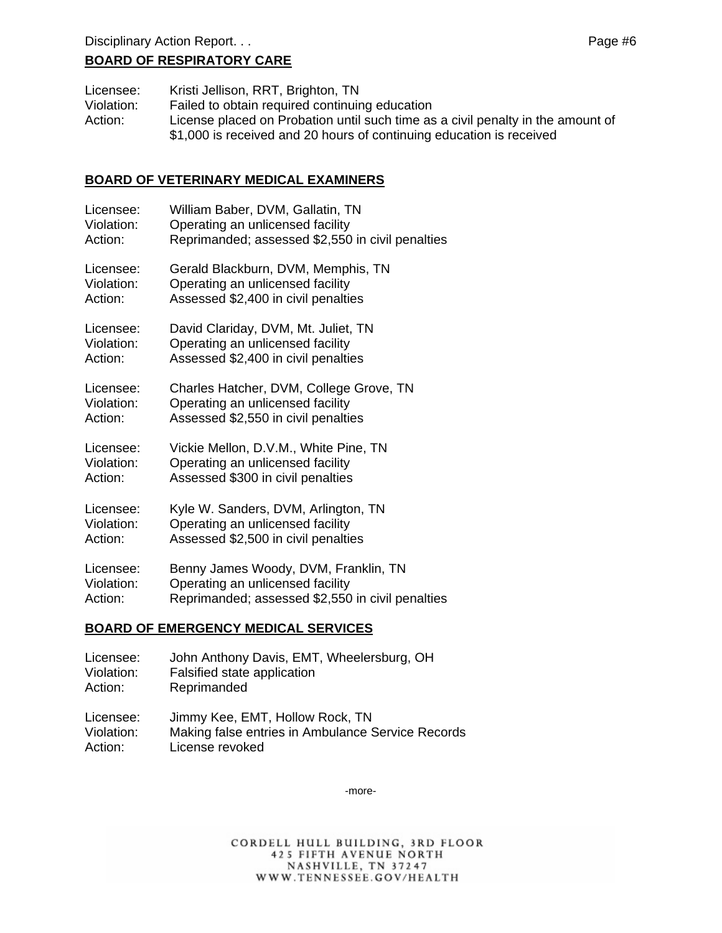#### **BOARD OF RESPIRATORY CARE**

| Licensee:  | Kristi Jellison, RRT, Brighton, TN                                              |
|------------|---------------------------------------------------------------------------------|
| Violation: | Failed to obtain required continuing education                                  |
| Action:    | License placed on Probation until such time as a civil penalty in the amount of |
|            | \$1,000 is received and 20 hours of continuing education is received            |

#### **BOARD OF VETERINARY MEDICAL EXAMINERS**

| Licensee:  | William Baber, DVM, Gallatin, TN                 |
|------------|--------------------------------------------------|
| Violation: | Operating an unlicensed facility                 |
| Action:    | Reprimanded; assessed \$2,550 in civil penalties |
| Licensee:  | Gerald Blackburn, DVM, Memphis, TN               |
| Violation: | Operating an unlicensed facility                 |
| Action:    | Assessed \$2,400 in civil penalties              |
| Licensee:  | David Clariday, DVM, Mt. Juliet, TN              |
| Violation: | Operating an unlicensed facility                 |
| Action:    | Assessed \$2,400 in civil penalties              |
| Licensee:  | Charles Hatcher, DVM, College Grove, TN          |
| Violation: | Operating an unlicensed facility                 |
| Action:    | Assessed \$2,550 in civil penalties              |
| Licensee:  | Vickie Mellon, D.V.M., White Pine, TN            |
| Violation: | Operating an unlicensed facility                 |
| Action:    | Assessed \$300 in civil penalties                |
| Licensee:  | Kyle W. Sanders, DVM, Arlington, TN              |
| Violation: | Operating an unlicensed facility                 |
| Action:    | Assessed \$2,500 in civil penalties              |
| Licensee:  | Benny James Woody, DVM, Franklin, TN             |
| Violation: | Operating an unlicensed facility                 |
| Action:    | Reprimanded; assessed \$2,550 in civil penalties |
|            |                                                  |

#### **BOARD OF EMERGENCY MEDICAL SERVICES**

| Licensee:  | John Anthony Davis, EMT, Wheelersburg, OH         |
|------------|---------------------------------------------------|
| Violation: | Falsified state application                       |
| Action:    | Reprimanded                                       |
| Licensee:  | Jimmy Kee, EMT, Hollow Rock, TN                   |
| Violation: | Making false entries in Ambulance Service Records |
| Action:    | License revoked                                   |

-more-

CORDELL HULL BUILDING, 3RD FLOOR 425 FIFTH AVENUE NORTH NASHVILLE, TN 37247 WWW.TENNESSEE.GOV/HEALTH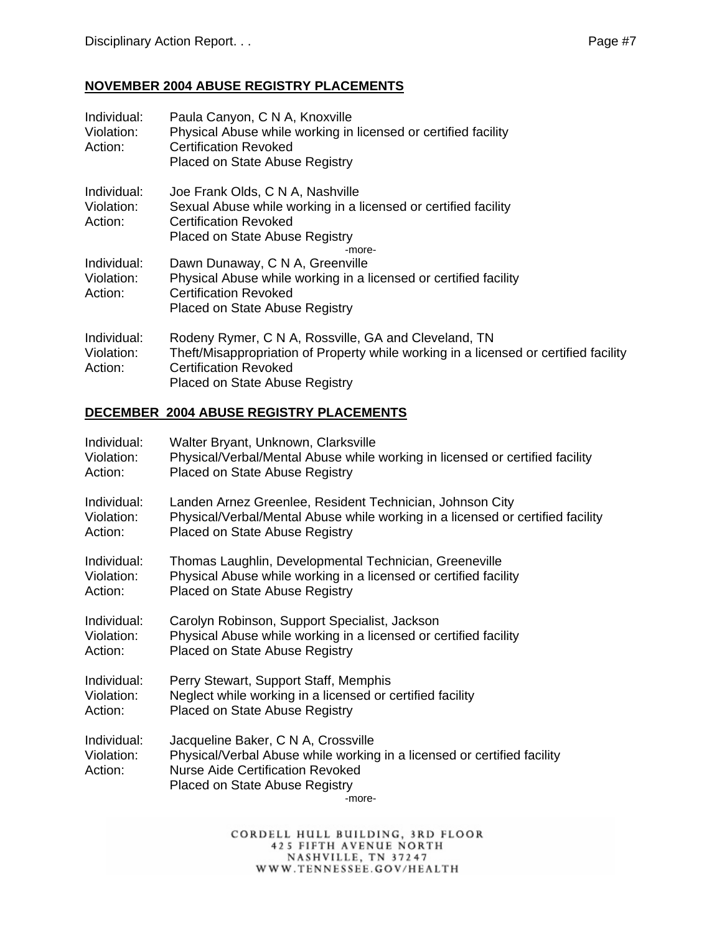# **NOVEMBER 2004 ABUSE REGISTRY PLACEMENTS**

| Individual:<br>Violation:<br>Action: | Paula Canyon, C N A, Knoxville<br>Physical Abuse while working in licensed or certified facility<br>Certification Revoked<br><b>Placed on State Abuse Registry</b> |
|--------------------------------------|--------------------------------------------------------------------------------------------------------------------------------------------------------------------|
| Individual:                          | Joe Frank Olds, C N A, Nashville                                                                                                                                   |
| Violation:                           | Sexual Abuse while working in a licensed or certified facility                                                                                                     |
| Action:                              | Certification Revoked                                                                                                                                              |
|                                      | Placed on State Abuse Registry                                                                                                                                     |
|                                      | -more-                                                                                                                                                             |
| Individual:                          | Dawn Dunaway, C N A, Greenville                                                                                                                                    |
| Violation:                           | Physical Abuse while working in a licensed or certified facility                                                                                                   |
| Action:                              | <b>Certification Revoked</b>                                                                                                                                       |
|                                      | <b>Placed on State Abuse Registry</b>                                                                                                                              |
| Individual:                          | Rodeny Rymer, C N A, Rossville, GA and Cleveland, TN                                                                                                               |
| Violation:                           | Theft/Misappropriation of Property while working in a licensed or certified facility                                                                               |
| Action:                              | <b>Certification Revoked</b>                                                                                                                                       |
|                                      | <b>Placed on State Abuse Registry</b>                                                                                                                              |
|                                      |                                                                                                                                                                    |

#### **DECEMBER 2004 ABUSE REGISTRY PLACEMENTS**

| Individual:                          | Walter Bryant, Unknown, Clarksville                                                                                                                                                                          |
|--------------------------------------|--------------------------------------------------------------------------------------------------------------------------------------------------------------------------------------------------------------|
| Violation:                           | Physical/Verbal/Mental Abuse while working in licensed or certified facility                                                                                                                                 |
| Action:                              | Placed on State Abuse Registry                                                                                                                                                                               |
| Individual:                          | Landen Arnez Greenlee, Resident Technician, Johnson City                                                                                                                                                     |
| Violation:                           | Physical/Verbal/Mental Abuse while working in a licensed or certified facility                                                                                                                               |
| Action:                              | Placed on State Abuse Registry                                                                                                                                                                               |
| Individual:                          | Thomas Laughlin, Developmental Technician, Greeneville                                                                                                                                                       |
| Violation:                           | Physical Abuse while working in a licensed or certified facility                                                                                                                                             |
| Action:                              | Placed on State Abuse Registry                                                                                                                                                                               |
| Individual:                          | Carolyn Robinson, Support Specialist, Jackson                                                                                                                                                                |
| Violation:                           | Physical Abuse while working in a licensed or certified facility                                                                                                                                             |
| Action:                              | Placed on State Abuse Registry                                                                                                                                                                               |
| Individual:                          | Perry Stewart, Support Staff, Memphis                                                                                                                                                                        |
| Violation:                           | Neglect while working in a licensed or certified facility                                                                                                                                                    |
| Action:                              | Placed on State Abuse Registry                                                                                                                                                                               |
| Individual:<br>Violation:<br>Action: | Jacqueline Baker, C N A, Crossville<br>Physical/Verbal Abuse while working in a licensed or certified facility<br><b>Nurse Aide Certification Revoked</b><br><b>Placed on State Abuse Registry</b><br>-more- |

CORDELL HULL BUILDING, 3RD FLOOR 425 FIFTH AVENUE NORTH<br>NASHVILLE, TN 37247<br>WWW.TENNESSEE.GOV/HEALTH